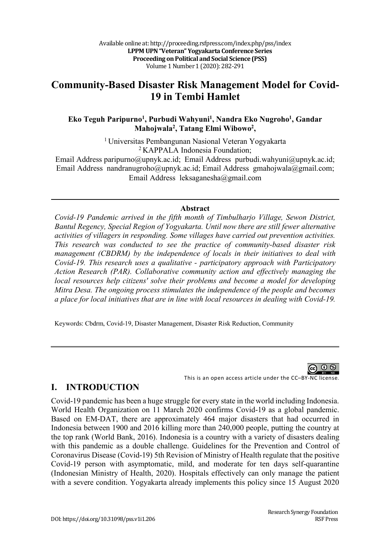# **Community-Based Disaster Risk Management Model for Covid-19 in Tembi Hamlet**

#### **Eko Teguh Paripurno1 , Purbudi Wahyuni1, Nandra Eko Nugroho1 , Gandar Mahojwala2, Tatang Elmi Wibowo2 ,**

1 Universitas Pembangunan Nasional Veteran Yogyakarta 2 KAPPALA Indonesia Foundation;

Email Address paripurno@upnyk.ac.id; Email Address purbudi.wahyuni@upnyk.ac.id; Email Address nandranugroho@upnyk.ac.id; Email Address gmahojwala@gmail.com; Email Address leksaganesha@gmail.com

#### **Abstract**

*Covid-19 Pandemic arrived in the fifth month of Timbulharjo Village, Sewon District, Bantul Regency, Special Region of Yogyakarta. Until now there are still fewer alternative activities of villagers in responding. Some villages have carried out prevention activities. This research was conducted to see the practice of community-based disaster risk management (CBDRM) by the independence of locals in their initiatives to deal with Covid-19. This research uses a qualitative - participatory approach with Participatory Action Research (PAR). Collaborative community action and effectively managing the local resources help citizens' solve their problems and become a model for developing Mitra Desa. The ongoing process stimulates the independence of the people and becomes a place for local initiatives that are in line with local resources in dealing with Covid-19.*

Keywords: Cbdrm, Covid-19, Disaster Management, Disaster Risk Reduction, Community



## **I. INTRODUCTION**

Covid-19 pandemic has been a huge struggle for every state in the world including Indonesia. World Health Organization on 11 March 2020 confirms Covid-19 as a global pandemic. Based on EM-DAT, there are approximately 464 major disasters that had occurred in Indonesia between 1900 and 2016 killing more than 240,000 people, putting the country at the top rank (World Bank, 2016). Indonesia is a country with a variety of disasters dealing with this pandemic as a double challenge. Guidelines for the Prevention and Control of Coronavirus Disease (Covid-19) 5th Revision of Ministry of Health regulate that the positive Covid-19 person with asymptomatic, mild, and moderate for ten days self-quarantine (Indonesian Ministry of Health, 2020). Hospitals effectively can only manage the patient with a severe condition. Yogyakarta already implements this policy since 15 August 2020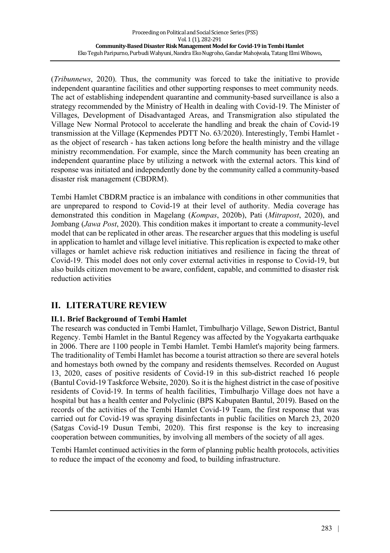(*Tribunnews*, 2020). Thus, the community was forced to take the initiative to provide independent quarantine facilities and other supporting responses to meet community needs. The act of establishing independent quarantine and community-based surveillance is also a strategy recommended by the Ministry of Health in dealing with Covid-19. The Minister of Villages, Development of Disadvantaged Areas, and Transmigration also stipulated the Village New Normal Protocol to accelerate the handling and break the chain of Covid-19 transmission at the Village (Kepmendes PDTT No. 63/2020). Interestingly, Tembi Hamlet as the object of research - has taken actions long before the health ministry and the village ministry recommendation. For example, since the March community has been creating an independent quarantine place by utilizing a network with the external actors. This kind of response was initiated and independently done by the community called a community-based disaster risk management (CBDRM).

Tembi Hamlet CBDRM practice is an imbalance with conditions in other communities that are unprepared to respond to Covid-19 at their level of authority. Media coverage has demonstrated this condition in Magelang (*Kompas*, 2020b), Pati (*Mitrapost*, 2020), and Jombang (*Jawa Post*, 2020). This condition makes it important to create a community-level model that can be replicated in other areas. The researcher argues that this modeling is useful in application to hamlet and village level initiative. This replication is expected to make other villages or hamlet achieve risk reduction initiatives and resilience in facing the threat of Covid-19. This model does not only cover external activities in response to Covid-19, but also builds citizen movement to be aware, confident, capable, and committed to disaster risk reduction activities

# **II. LITERATURE REVIEW**

## **II.1. Brief Background of Tembi Hamlet**

The research was conducted in Tembi Hamlet, Timbulharjo Village, Sewon District, Bantul Regency. Tembi Hamlet in the Bantul Regency was affected by the Yogyakarta earthquake in 2006. There are 1100 people in Tembi Hamlet. Tembi Hamlet's majority being farmers. The traditionality of Tembi Hamlet has become a tourist attraction so there are several hotels and homestays both owned by the company and residents themselves. Recorded on August 13, 2020, cases of positive residents of Covid-19 in this sub-district reached 16 people (Bantul Covid-19 Taskforce Website, 2020). So it is the highest district in the case of positive residents of Covid-19. In terms of health facilities, Timbulharjo Village does not have a hospital but has a health center and Polyclinic (BPS Kabupaten Bantul, 2019). Based on the records of the activities of the Tembi Hamlet Covid-19 Team, the first response that was carried out for Covid-19 was spraying disinfectants in public facilities on March 23, 2020 (Satgas Covid-19 Dusun Tembi, 2020). This first response is the key to increasing cooperation between communities, by involving all members of the society of all ages.

Tembi Hamlet continued activities in the form of planning public health protocols, activities to reduce the impact of the economy and food, to building infrastructure.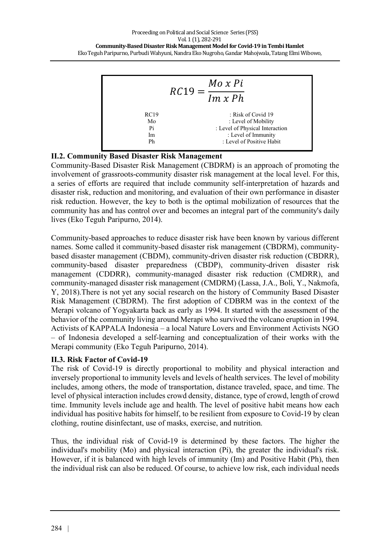

### **II.2. Community Based Disaster Risk Management**

Community-Based Disaster Risk Management (CBDRM) is an approach of promoting the involvement of grassroots-community disaster risk management at the local level. For this, a series of efforts are required that include community self-interpretation of hazards and disaster risk, reduction and monitoring, and evaluation of their own performance in disaster risk reduction. However, the key to both is the optimal mobilization of resources that the community has and has control over and becomes an integral part of the community's daily lives (Eko Teguh Paripurno, 2014).

Community-based approaches to reduce disaster risk have been known by various different names. Some called it community-based disaster risk management (CBDRM), communitybased disaster management (CBDM), community-driven disaster risk reduction (CBDRR), community-based disaster preparedness (CBDP), community-driven disaster risk management (CDDRR), community-managed disaster risk reduction (CMDRR), and community-managed disaster risk management (CMDRM) (Lassa, J.A., Boli, Y., Nakmofa, Y, 2018).There is not yet any social research on the history of Community Based Disaster Risk Management (CBDRM). The first adoption of CDBRM was in the context of the Merapi volcano of Yogyakarta back as early as 1994. It started with the assessment of the behavior of the community living around Merapi who survived the volcano eruption in 1994. Activists of KAPPALA Indonesia – a local Nature Lovers and Environment Activists NGO – of Indonesia developed a self-learning and conceptualization of their works with the Merapi community (Eko Teguh Paripurno, 2014).

#### **II.3. Risk Factor of Covid-19**

The risk of Covid-19 is directly proportional to mobility and physical interaction and inversely proportional to immunity levels and levels of health services. The level of mobility includes, among others, the mode of transportation, distance traveled, space, and time. The level of physical interaction includes crowd density, distance, type of crowd, length of crowd time. Immunity levels include age and health. The level of positive habit means how each individual has positive habits for himself, to be resilient from exposure to Covid-19 by clean clothing, routine disinfectant, use of masks, exercise, and nutrition.

Thus, the individual risk of Covid-19 is determined by these factors. The higher the individual's mobility (Mo) and physical interaction (Pi), the greater the individual's risk. However, if it is balanced with high levels of immunity (Im) and Positive Habit (Ph), then the individual risk can also be reduced. Of course, to achieve low risk, each individual needs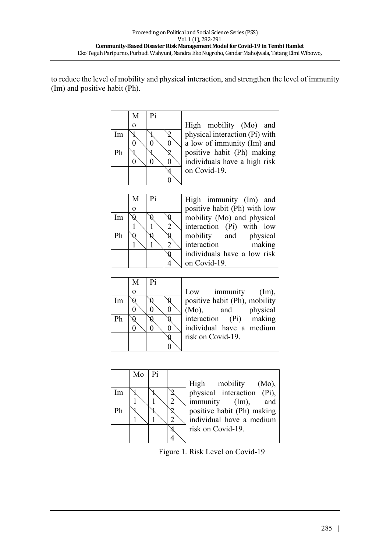to reduce the level of mobility and physical interaction, and strengthen the level of immunity (Im) and positive habit (Ph).

|    | М        | Pi |                                |
|----|----------|----|--------------------------------|
|    | $\Omega$ |    | High mobility (Mo) and         |
| Im |          |    | physical interaction (Pi) with |
|    |          |    | a low of immunity (Im) and     |
| Ph |          |    | positive habit (Ph) making     |
|    |          |    | individuals have a high risk   |
|    |          |    | on Covid-19.                   |
|    |          |    |                                |

Im 0

 $\overline{Ph}$ 

| M              | Pi |                | High immur    |
|----------------|----|----------------|---------------|
| $\overline{0}$ |    |                | positive habi |
| Q              |    | K              | mobility (Mo  |
|                |    | $\overline{2}$ | interaction ( |
|                |    | 0              | mobility<br>έ |
|                |    | $\overline{2}$ | interaction   |
|                |    | Ŋ              | individuals h |
|                |    |                | on Covid-19.  |
|                |    |                |               |

| Pi | High immunity (Im) and       |
|----|------------------------------|
|    | positive habit (Ph) with low |
|    | mobility (Mo) and physical   |
|    | interaction (Pi) with low    |
|    | mobility and physical        |
|    | interaction<br>making        |
|    | individuals have a low risk  |
|    | on Covid-19.                 |
|    |                              |

|    | М        | P <sub>i</sub> |                               |
|----|----------|----------------|-------------------------------|
|    | $\Omega$ |                | immunity (Im),<br>Low         |
| Im |          |                | positive habit (Ph), mobility |
|    |          |                | (Mo), and physical            |
| Ph |          |                | interaction (Pi) making       |
|    |          |                | individual have a medium      |
|    |          |                | risk on Covid-19.             |
|    |          |                |                               |

|    | $Mo$   Pi |  |                                |
|----|-----------|--|--------------------------------|
|    |           |  | High mobility (Mo),            |
| Im |           |  | physical interaction (Pi),     |
|    |           |  | $\text{immunity}$ (Im),<br>and |
| Ph |           |  | positive habit (Ph) making     |
|    |           |  | individual have a medium       |
|    |           |  | risk on Covid-19.              |
|    |           |  |                                |

Figure 1. Risk Level on Covid-19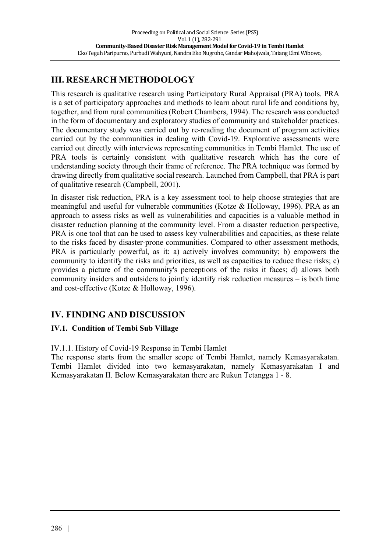# **III. RESEARCH METHODOLOGY**

This research is qualitative research using Participatory Rural Appraisal (PRA) tools. PRA is a set of participatory approaches and methods to learn about rural life and conditions by, together, and from rural communities (Robert Chambers, 1994). The research was conducted in the form of documentary and exploratory studies of community and stakeholder practices. The documentary study was carried out by re-reading the document of program activities carried out by the communities in dealing with Covid-19. Explorative assessments were carried out directly with interviews representing communities in Tembi Hamlet. The use of PRA tools is certainly consistent with qualitative research which has the core of understanding society through their frame of reference. The PRA technique was formed by drawing directly from qualitative social research. Launched from Campbell, that PRA is part of qualitative research (Campbell, 2001).

In disaster risk reduction, PRA is a key assessment tool to help choose strategies that are meaningful and useful for vulnerable communities (Kotze & Holloway, 1996). PRA as an approach to assess risks as well as vulnerabilities and capacities is a valuable method in disaster reduction planning at the community level. From a disaster reduction perspective, PRA is one tool that can be used to assess key vulnerabilities and capacities, as these relate to the risks faced by disaster-prone communities. Compared to other assessment methods, PRA is particularly powerful, as it: a) actively involves community; b) empowers the community to identify the risks and priorities, as well as capacities to reduce these risks; c) provides a picture of the community's perceptions of the risks it faces; d) allows both community insiders and outsiders to jointly identify risk reduction measures – is both time and cost-effective (Kotze & Holloway, 1996).

# **IV. FINDING AND DISCUSSION**

## **IV.1. Condition of Tembi Sub Village**

## IV.1.1. History of Covid-19 Response in Tembi Hamlet

The response starts from the smaller scope of Tembi Hamlet, namely Kemasyarakatan. Tembi Hamlet divided into two kemasyarakatan, namely Kemasyarakatan I and Kemasyarakatan II. Below Kemasyarakatan there are Rukun Tetangga 1 - 8.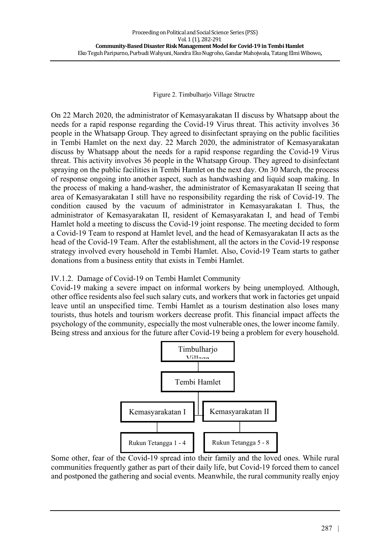Figure 2. Timbulharjo Village Structre

On 22 March 2020, the administrator of Kemasyarakatan II discuss by Whatsapp about the needs for a rapid response regarding the Covid-19 Virus threat. This activity involves 36 people in the Whatsapp Group. They agreed to disinfectant spraying on the public facilities in Tembi Hamlet on the next day. 22 March 2020, the administrator of Kemasyarakatan discuss by Whatsapp about the needs for a rapid response regarding the Covid-19 Virus threat. This activity involves 36 people in the Whatsapp Group. They agreed to disinfectant spraying on the public facilities in Tembi Hamlet on the next day. On 30 March, the process of response ongoing into another aspect, such as handwashing and liquid soap making. In the process of making a hand-washer, the administrator of Kemasyarakatan II seeing that area of Kemasyarakatan I still have no responsibility regarding the risk of Covid-19. The condition caused by the vacuum of administrator in Kemasyarakatan I. Thus, the administrator of Kemasyarakatan II, resident of Kemasyarakatan I, and head of Tembi Hamlet hold a meeting to discuss the Covid-19 joint response. The meeting decided to form a Covid-19 Team to respond at Hamlet level, and the head of Kemasyarakatan II acts as the head of the Covid-19 Team. After the establishment, all the actors in the Covid-19 response strategy involved every household in Tembi Hamlet. Also, Covid-19 Team starts to gather donations from a business entity that exists in Tembi Hamlet.

## IV.1.2. Damage of Covid-19 on Tembi Hamlet Community

Covid-19 making a severe impact on informal workers by being unemployed. Although, other office residents also feel such salary cuts, and workers that work in factories get unpaid leave until an unspecified time. Tembi Hamlet as a tourism destination also loses many tourists, thus hotels and tourism workers decrease profit. This financial impact affects the psychology of the community, especially the most vulnerable ones, the lower income family. Being stress and anxious for the future after Covid-19 being a problem for every household.



Some other, fear of the Covid-19 spread into their family and the loved ones. While rural communities frequently gather as part of their daily life, but Covid-19 forced them to cancel and postponed the gathering and social events. Meanwhile, the rural community really enjoy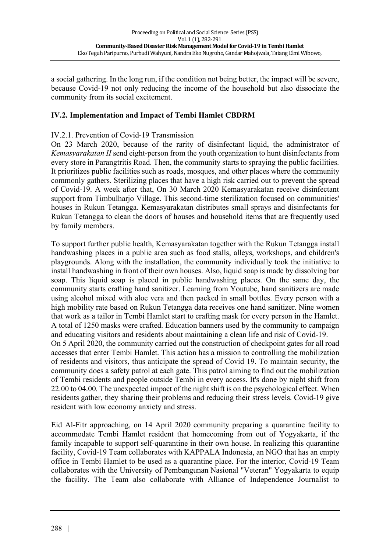a social gathering. In the long run, if the condition not being better, the impact will be severe, because Covid-19 not only reducing the income of the household but also dissociate the community from its social excitement.

#### **IV.2. Implementation and Impact of Tembi Hamlet CBDRM**

#### IV.2.1. Prevention of Covid-19 Transmission

On 23 March 2020, because of the rarity of disinfectant liquid, the administrator of *Kemasyarakatan II* send eight-person from the youth organization to hunt disinfectants from every store in Parangtritis Road. Then, the community starts to spraying the public facilities. It prioritizes public facilities such as roads, mosques, and other places where the community commonly gathers. Sterilizing places that have a high risk carried out to prevent the spread of Covid-19. A week after that, On 30 March 2020 Kemasyarakatan receive disinfectant support from Timbulhario Village. This second-time sterilization focused on communities' houses in Rukun Tetangga. Kemasyarakatan distributes small sprays and disinfectants for Rukun Tetangga to clean the doors of houses and household items that are frequently used by family members.

To support further public health, Kemasyarakatan together with the Rukun Tetangga install handwashing places in a public area such as food stalls, alleys, workshops, and children's playgrounds. Along with the installation, the community individually took the initiative to install handwashing in front of their own houses. Also, liquid soap is made by dissolving bar soap. This liquid soap is placed in public handwashing places. On the same day, the community starts crafting hand sanitizer. Learning from Youtube, hand sanitizers are made using alcohol mixed with aloe vera and then packed in small bottles. Every person with a high mobility rate based on Rukun Tetangga data receives one hand sanitizer. Nine women that work as a tailor in Tembi Hamlet start to crafting mask for every person in the Hamlet. A total of 1250 masks were crafted. Education banners used by the community to campaign and educating visitors and residents about maintaining a clean life and risk of Covid-19. On 5 April 2020, the community carried out the construction of checkpoint gates for all road accesses that enter Tembi Hamlet. This action has a mission to controlling the mobilization of residents and visitors, thus anticipate the spread of Covid 19. To maintain security, the community does a safety patrol at each gate. This patrol aiming to find out the mobilization of Tembi residents and people outside Tembi in every access. It's done by night shift from 22.00 to 04.00. The unexpected impact of the night shift is on the psychological effect. When residents gather, they sharing their problems and reducing their stress levels. Covid-19 give resident with low economy anxiety and stress.

Eid Al-Fitr approaching, on 14 April 2020 community preparing a quarantine facility to accommodate Tembi Hamlet resident that homecoming from out of Yogyakarta, if the family incapable to support self-quarantine in their own house. In realizing this quarantine facility, Covid-19 Team collaborates with KAPPALA Indonesia, an NGO that has an empty office in Tembi Hamlet to be used as a quarantine place. For the interior, Covid-19 Team collaborates with the University of Pembangunan Nasional "Veteran" Yogyakarta to equip the facility. The Team also collaborate with Alliance of Independence Journalist to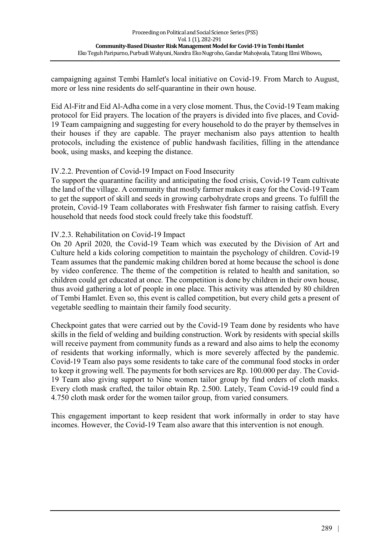campaigning against Tembi Hamlet's local initiative on Covid-19. From March to August, more or less nine residents do self-quarantine in their own house.

Eid Al-Fitr and Eid Al-Adha come in a very close moment. Thus, the Covid-19 Team making protocol for Eid prayers. The location of the prayers is divided into five places, and Covid-19 Team campaigning and suggesting for every household to do the prayer by themselves in their houses if they are capable. The prayer mechanism also pays attention to health protocols, including the existence of public handwash facilities, filling in the attendance book, using masks, and keeping the distance.

### IV.2.2. Prevention of Covid-19 Impact on Food Insecurity

To support the quarantine facility and anticipating the food crisis, Covid-19 Team cultivate the land of the village. A community that mostly farmer makes it easy for the Covid-19 Team to get the support of skill and seeds in growing carbohydrate crops and greens. To fulfill the protein, Covid-19 Team collaborates with Freshwater fish farmer to raising catfish. Every household that needs food stock could freely take this foodstuff.

### IV.2.3. Rehabilitation on Covid-19 Impact

On 20 April 2020, the Covid-19 Team which was executed by the Division of Art and Culture held a kids coloring competition to maintain the psychology of children. Covid-19 Team assumes that the pandemic making children bored at home because the school is done by video conference. The theme of the competition is related to health and sanitation, so children could get educated at once. The competition is done by children in their own house, thus avoid gathering a lot of people in one place. This activity was attended by 80 children of Tembi Hamlet. Even so, this event is called competition, but every child gets a present of vegetable seedling to maintain their family food security.

Checkpoint gates that were carried out by the Covid-19 Team done by residents who have skills in the field of welding and building construction. Work by residents with special skills will receive payment from community funds as a reward and also aims to help the economy of residents that working informally, which is more severely affected by the pandemic. Covid-19 Team also pays some residents to take care of the communal food stocks in order to keep it growing well. The payments for both services are Rp. 100.000 per day. The Covid-19 Team also giving support to Nine women tailor group by find orders of cloth masks. Every cloth mask crafted, the tailor obtain Rp. 2.500. Lately, Team Covid-19 could find a 4.750 cloth mask order for the women tailor group, from varied consumers.

This engagement important to keep resident that work informally in order to stay have incomes. However, the Covid-19 Team also aware that this intervention is not enough.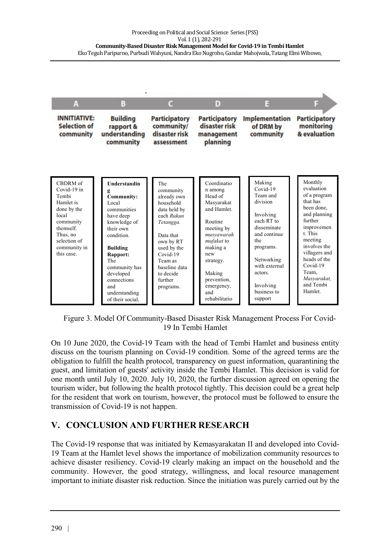

Figure 3. Model Of Community-Based Disaster Risk Management Process For Covid-19 In Tembi Hamlet

On 10 June 2020, the Covid-19 Team with the head of Tembi Hamlet and business entity discuss on the tourism planning on Covid-19 condition. Some of the agreed terms are the obligation to fulfill the health protocol, transparency on guest information, quarantining the guest, and limitation of guests' activity inside the Tembi Hamlet. This decision is valid for one month until July 10, 2020. July 10, 2020, the further discussion agreed on opening the tourism wider, but following the health protocol tightly. This decision could be a great help for the resident that work on tourism, however, the protocol must be followed to ensure the transmission of Covid-19 is not happen.

# **V. CONCLUSION AND FURTHER RESEARCH**

The Covid-19 response that was initiated by Kemasyarakatan II and developed into Covid-19 Team at the Hamlet level shows the importance of mobilization community resources to achieve disaster resiliency. Covid-19 clearly making an impact on the household and the community. However, the good strategy, willingness, and local resource management important to initiate disaster risk reduction. Since the initiation was purely carried out by the